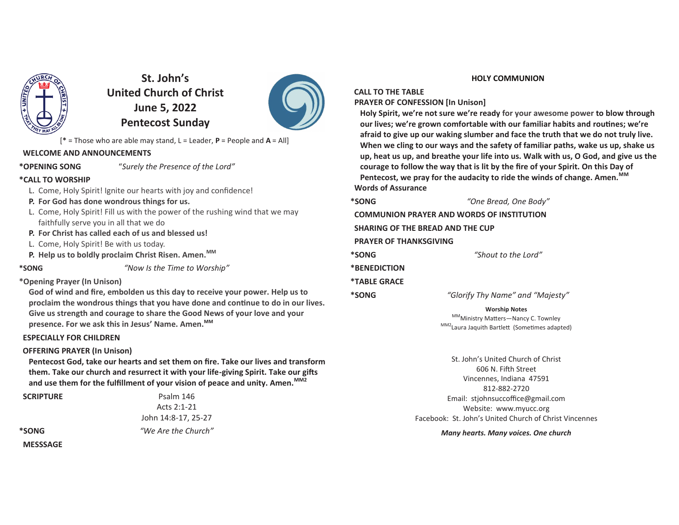

**St. John's United Church of ChristJune 5, 2022Pentecost Sunday**



[**\*** = Those who are able may stand, L = Leader, **P** = People and **A** = All]

### **WELCOME AND ANNOUNCEMENTS**

**\*OPENING SONG**

"*Surely the Presence of the Lord"*

### **\*CALL TO WORSHIP**

- L. Come, Holy Spirit! Ignite our hearts with joy and confidence!
- **P. For God has done wondrous things for us.**
- L. Come, Holy Spirit! Fill us with the power of the rushing wind that we may faithfully serve you in all that we do
- **P. For Christ has called each of us and blessed us!**
- L. Come, Holy Spirit! Be with us today.
- **P. Help us to boldly proclaim Christ Risen. Amen.MM**

**\*SONG**

*"Now Is the Time to Worship"*

# **\*Opening Prayer (In Unison)**

 **God of wind and fire, embolden us this day to receive your power. Help us to** proclaim the wondrous things that you have done and continue to do in our lives. **Give us strength and courage to share the Good News of your love and your presence. For we ask this in Jesus' Name. Amen.MM** 

# **ESPECIALLY FOR CHILDREN**

### **OFFERING PRAYER (In Unison)**

**Pentecost God, take our hearts and set them on fire. Take our lives and transform** them. Take our church and resurrect it with your life-giving Spirit. Take our gifts **and use them for the fulfillment of your vision of peace and unity. Amen.MM2** 

 **SCRIPTURE**

 Psalm 146 Acts 2:1-21 John 14:8-17, 25-27*"We Are the Church"*

**\*SONG MESSSAGE**

#### **HOLY COMMUNION**

**CALL TO THE TABLE**

 **PRAYER OF CONFESSION [In Unison]**

**Holy Spirit, we're not sure we're ready for your awesome power to blow through our lives; we're grown comfortable with our familiar habits and routines; we're afraid to give up our waking slumber and face the truth that we do not truly live.When we cling to our ways and the safety of familiar paths, wake us up, shake us up, heat us up, and breathe your life into us. Walk with us, O God, and give us the courage to follow the way that is lit by the fire of your Spirit. On this Day of Pentecost, we pray for the audacity to ride the winds of change. Amen.MM Words of Assurance**

**\*SONG**

**\*SONG**

*"One Bread, One Body"*

 **COMMUNION PRAYER AND WORDS OF INSTITUTION SHARING OF THE BREAD AND THE CUP PRAYER OF THANKSGIVING\*SONG** *"Shout to the Lord"* **\*BENEDICTION\*TABLE GRACE**

*"Glorify Thy Name" and "Majesty"*

**Worship Notes**

<sup>MM</sup>Ministry Matters—Nancy C. Townley <sup>MM2</sup>Laura Jaquith Bartlett (Sometimes adapted)

St. John's United Church of Christ606 N. Fifth Street Vincennes, Indiana 47591812-882-2720 Email: stjohnsuccoffice@gmail.comWebsite: www.myucc.orgFacebook: St. John's United Church of Christ Vincennes

*Many hearts. Many voices. One church*